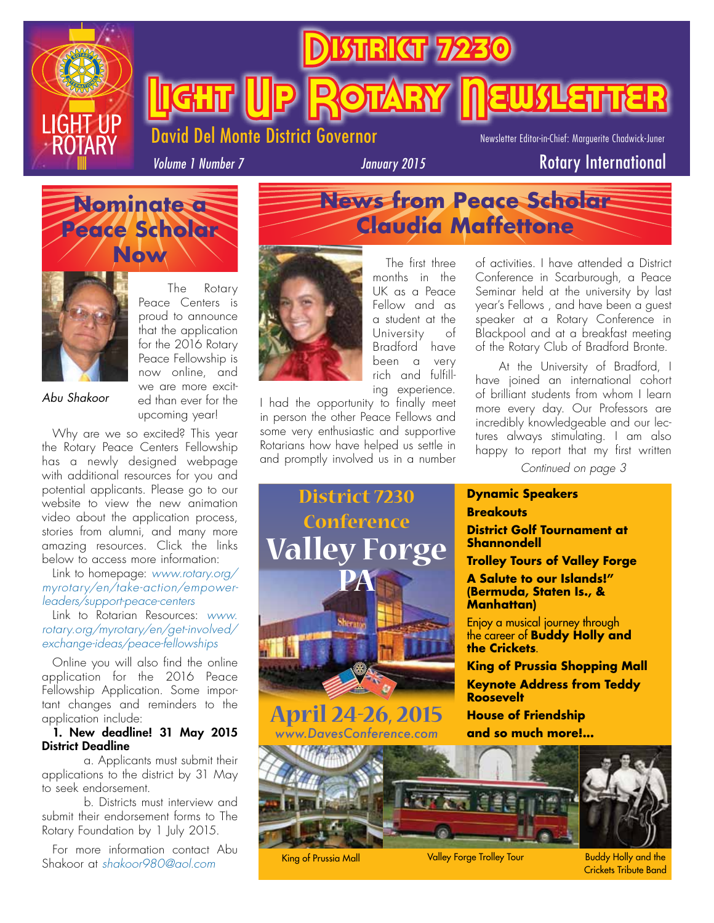

**TRICT** 

Del Monte District Governor

Newsletter Editor-in-Chief: Marguerite Chadwick-Juner

*Volume 1 Number 7*

### *January 2015* Rotary International

**Kilghirar** 





The Rotary Peace Centers is proud to announce that the application for the 2016 Rotary Peace Fellowship is now online, and we are more excited than ever for the upcoming year!

*Abu Shakoor*

Why are we so excited? This year the Rotary Peace Centers Fellowship has a newly designed webpage with additional resources for you and potential applicants. Please go to our website to view the new animation video about the application process, stories from alumni, and many more amazing resources. Click the links below to access more information:

Link to homepage: *www.rotary.org/ myrotary/en/take-action/empowerleaders/support-peace-centers*

Link to Rotarian Resources: *www. rotary.org/myrotary/en/get-involved/ exchange-ideas/peace-fellowships*

Online you will also find the online application for the 2016 Peace Fellowship Application. Some important changes and reminders to the application include:

#### 1. New deadline! 31 May 2015 District Deadline

 a. Applicants must submit their applications to the district by 31 May to seek endorsement.

 b. Districts must interview and submit their endorsement forms to The Rotary Foundation by 1 July 2015.

For more information contact Abu Shakoor at *shakoor980@aol.com*



The first three months in the UK as a Peace Fellow and as a student at the University of Bradford have been a very rich and fulfilling experience.

**News from Peace Scholar**

**Claudia Maffettone**

I had the opportunity to finally meet in person the other Peace Fellows and some very enthusiastic and supportive Rotarians how have helped us settle in and promptly involved us in a number

of activities. I have attended a District Conference in Scarburough, a Peace Seminar held at the university by last year's Fellows , and have been a guest speaker at a Rotary Conference in Blackpool and at a breakfast meeting of the Rotary Club of Bradford Bronte.

At the University of Bradford, I have joined an international cohort of brilliant students from whom I learn more every day. Our Professors are incredibly knowledgeable and our lectures always stimulating. I am also happy to report that my first written

*Continued on page 3*

#### **District 7230 Conference Valley Forge PA April 24-26, 2015** *www.DavesConference.com* **Dynamic Speakers Breakouts District Golf Tournament at Shannondell Trolley Tours of Valley Forge A Salute to our Islands!" (Bermuda, Staten Is., & Manhattan)**  Enjoy a musical journey through the career of **Buddy Holly and the Crickets**. **King of Prussia Shopping Mall Keynote Address from Teddy Roosevelt House of Friendship and so much more!...**



King of Prussia Mall **Valley Forge Trolley Tour** 

Buddy Holly and the Crickets Tribute Band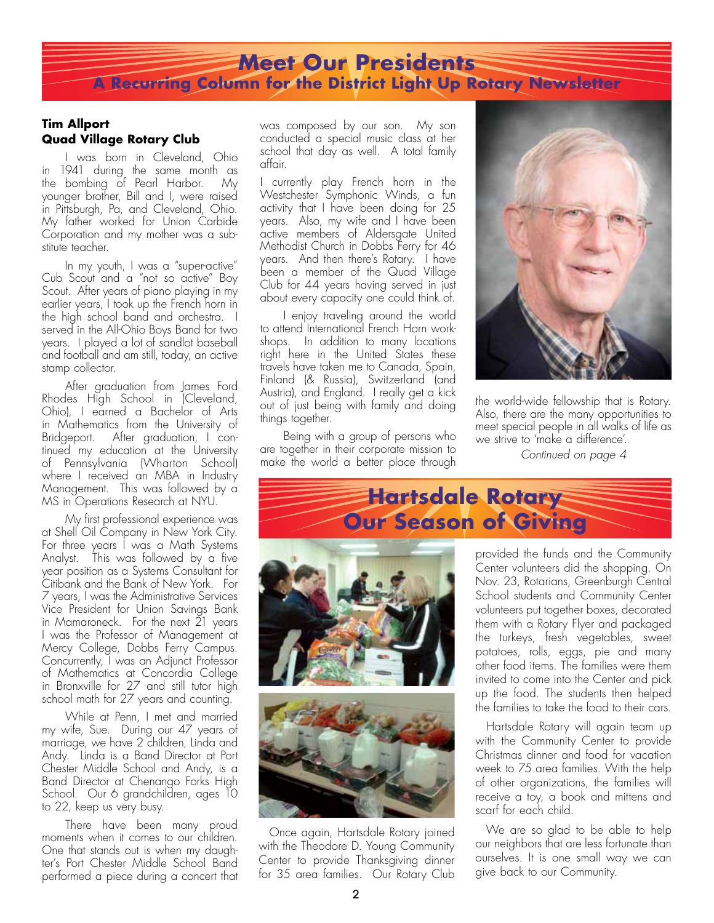### **Meet Our Presidents A Recurring Column for the District Light Up Rotary Newsletter**

#### **Tim Allport Quad Village Rotary Club**

I was born in Cleveland, Ohio in 1941 during the same month as the bombing of Pearl Harbor. My younger brother, Bill and I, were raised in Pittsburgh, Pa, and Cleveland, Ohio. My father worked for Union Carbide Corporation and my mother was a substitute teacher.

In my youth, I was a "super-active" Cub Scout and a "not so active" Boy Scout. After years of piano playing in my earlier years, I took up the French horn in the high school band and orchestra. I served in the All-Ohio Boys Band for two years. I played a lot of sandlot baseball and football and am still, today, an active stamp collector.

After graduation from James Ford Rhodes High School in (Cleveland, Ohio), I earned a Bachelor of Arts in Mathematics from the University of Bridgeport. After graduation, I continued my education at the University of Pennsylvania (Wharton School) where I received an MBA in Industry Management. This was followed by a MS in Operations Research at NYU.

My first professional experience was at Shell Oil Company in New York City. For three years I was a Math Systems Analyst. This was followed by a five year position as a Systems Consultant for Citibank and the Bank of New York. For 7 years, I was the Administrative Services Vice President for Union Savings Bank in Mamaroneck. For the next 21 years I was the Professor of Management at Mercy College, Dobbs Ferry Campus. Concurrently, I was an Adjunct Professor of Mathematics at Concordia College in Bronxville for 27 and still tutor high school math for 27 years and counting.

While at Penn, I met and married my wife, Sue. During our 47 years of marriage, we have 2 children, Linda and Andy. Linda is a Band Director at Port Chester Middle School and Andy, is a Band Director at Chenango Forks High School. Our 6 grandchildren, ages 10 to 22, keep us very busy.

There have been many proud moments when it comes to our children. One that stands out is when my daughter's Port Chester Middle School Band performed a piece during a concert that was composed by our son. My son conducted a special music class at her school that day as well. A total family affair.

I currently play French horn in the Westchester Symphonic Winds, a fun activity that I have been doing for 25 years. Also, my wife and I have been active members of Aldersgate United Methodist Church in Dobbs Ferry for 46 years. And then there's Rotary. I have been a member of the Quad Village Club for 44 years having served in just about every capacity one could think of.

I enjoy traveling around the world to attend International French Horn workshops. In addition to many locations right here in the United States these travels have taken me to Canada, Spain, Finland (& Russia), Switzerland (and Austria), and England. I really get a kick out of just being with family and doing things together.

Being with a group of persons who are together in their corporate mission to make the world a better place through



the world-wide fellowship that is Rotary. Also, there are the many opportunities to meet special people in all walks of life as we strive to 'make a difference'.

*Continued on page 4*



Once again, Hartsdale Rotary joined with the Theodore D. Young Community Center to provide Thanksgiving dinner for 35 area families. Our Rotary Club provided the funds and the Community Center volunteers did the shopping. On Nov. 23, Rotarians, Greenburgh Central School students and Community Center volunteers put together boxes, decorated them with a Rotary Flyer and packaged the turkeys, fresh vegetables, sweet potatoes, rolls, eggs, pie and many other food items. The families were them invited to come into the Center and pick up the food. The students then helped the families to take the food to their cars.

Hartsdale Rotary will again team up with the Community Center to provide Christmas dinner and food for vacation week to 75 area families. With the help of other organizations, the families will receive a toy, a book and mittens and scarf for each child.

We are so glad to be able to help our neighbors that are less fortunate than ourselves. It is one small way we can give back to our Community.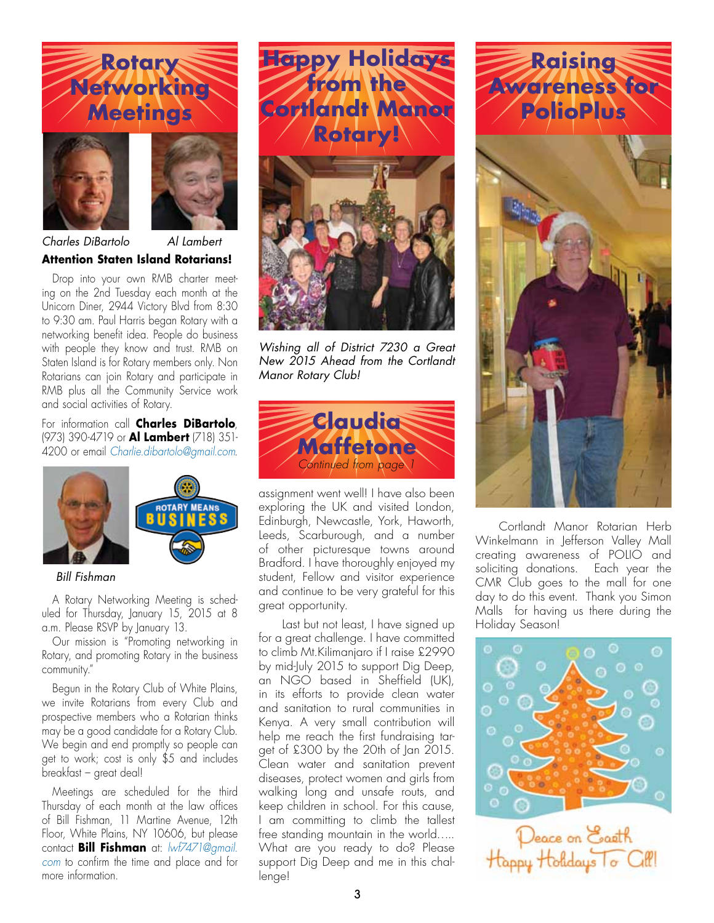# **Rotary Networking Meetings**





**Attention Staten Island Rotarians!**  *Charles DiBartolo Al Lambert*

Drop into your own RMB charter meeting on the 2nd Tuesday each month at the Unicorn Diner, 2944 Victory Blvd from 8:30 to 9:30 am. Paul Harris began Rotary with a networking benefit idea. People do business with people they know and trust. RMB on Staten Island is for Rotary members only. Non Rotarians can join Rotary and participate in RMB plus all the Community Service work and social activities of Rotary.

For information call **Charles DiBartolo**, (973) 390-4719 or **Al Lambert** (718) 351- 4200 or email *Charlie.dibartolo@gmail.com*.



#### *Bill Fishman*

A Rotary Networking Meeting is scheduled for Thursday, January 15, 2015 at 8 a.m. Please RSVP by January 13.

Our mission is "Promoting networking in Rotary, and promoting Rotary in the business community."

Begun in the Rotary Club of White Plains, we invite Rotarians from every Club and prospective members who a Rotarian thinks may be a good candidate for a Rotary Club. We begin and end promptly so people can get to work; cost is only \$5 and includes breakfast – great deal!

Meetings are scheduled for the third Thursday of each month at the law offices of Bill Fishman, 11 Martine Avenue, 12th Floor, White Plains, NY 10606, but please contact **Bill Fishman** at: *lwf7471@gmail. com* to confirm the time and place and for more information.



*Wishing all of District 7230 a Great New 2015 Ahead from the Cortlandt Manor Rotary Club!*



assignment went well! I have also been exploring the UK and visited London, Edinburgh, Newcastle, York, Haworth, Leeds, Scarburough, and a number of other picturesque towns around Bradford. I have thoroughly enjoyed my student, Fellow and visitor experience and continue to be very grateful for this great opportunity.

Last but not least, I have signed up for a great challenge. I have committed to climb Mt.Kilimanjaro if I raise £2990 by mid-July 2015 to support Dig Deep, an NGO based in Sheffield (UK), in its efforts to provide clean water and sanitation to rural communities in Kenya. A very small contribution will help me reach the first fundraising target of £300 by the 20th of Jan 2015. Clean water and sanitation prevent diseases, protect women and girls from walking long and unsafe routs, and keep children in school. For this cause, I am committing to climb the tallest free standing mountain in the world….. What are you ready to do? Please support Dig Deep and me in this challenge!



Cortlandt Manor Rotarian Herb Winkelmann in Jefferson Valley Mall creating awareness of POLIO and soliciting donations. Each year the CMR Club goes to the mall for one day to do this event. Thank you Simon Malls for having us there during the Holiday Season!

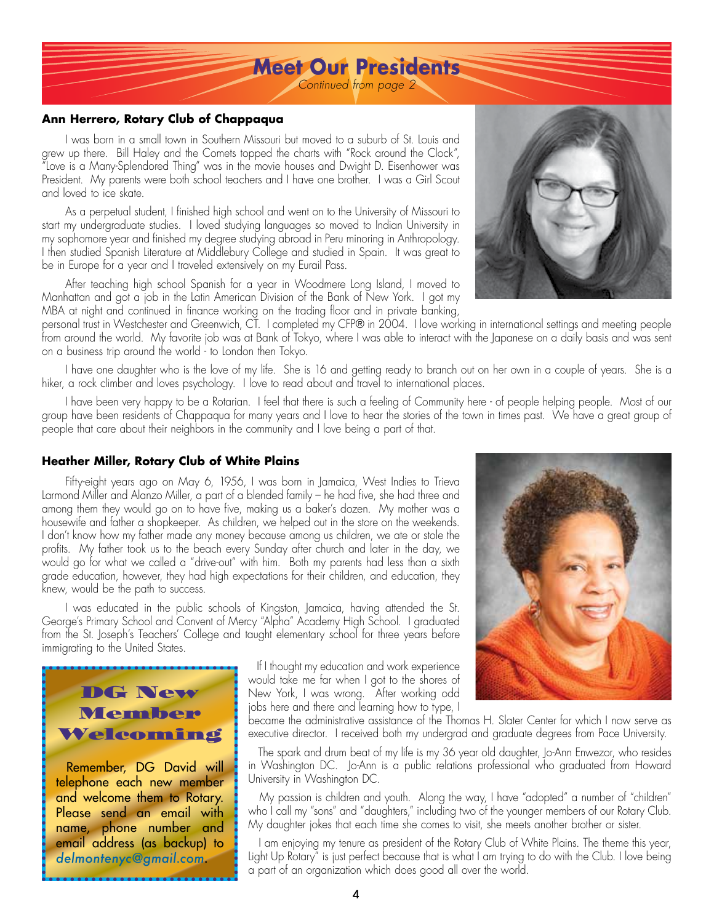### **Meet Our Presidents**

*Continued from page 2*

#### **Ann Herrero, Rotary Club of Chappaqua**

I was born in a small town in Southern Missouri but moved to a suburb of St. Louis and grew up there. Bill Haley and the Comets topped the charts with "Rock around the Clock", "Love is a Many-Splendored Thing" was in the movie houses and Dwight D. Eisenhower was President. My parents were both school teachers and I have one brother. I was a Girl Scout and loved to ice skate.

As a perpetual student, I finished high school and went on to the University of Missouri to start my undergraduate studies. I loved studying languages so moved to Indian University in my sophomore year and finished my degree studying abroad in Peru minoring in Anthropology. I then studied Spanish Literature at Middlebury College and studied in Spain. It was great to be in Europe for a year and I traveled extensively on my Eurail Pass.

After teaching high school Spanish for a year in Woodmere Long Island, I moved to Manhattan and got a job in the Latin American Division of the Bank of New York. I got my MBA at night and continued in finance working on the trading floor and in private banking,

personal trust in Westchester and Greenwich, CT. I completed my CFP® in 2004. I love working in international settings and meeting people from around the world. My favorite job was at Bank of Tokyo, where I was able to interact with the Japanese on a daily basis and was sent on a business trip around the world - to London then Tokyo.

I have one daughter who is the love of my life. She is 16 and getting ready to branch out on her own in a couple of years. She is a hiker, a rock climber and loves psychology. I love to read about and travel to international places.

I have been very happy to be a Rotarian. I feel that there is such a feeling of Community here - of people helping people. Most of our group have been residents of Chappaqua for many years and I love to hear the stories of the town in times past. We have a great group of people that care about their neighbors in the community and I love being a part of that.

#### **Heather Miller, Rotary Club of White Plains**

DG New Member Welcoming

Remember, DG David will telephone each new member and welcome them to Rotary. Please send an email with name, phone number and email address (as backup) to *delmontenyc@gmail.com.*

Fifty-eight years ago on May 6, 1956, I was born in Jamaica, West Indies to Trieva Larmond Miller and Alanzo Miller, a part of a blended family – he had five, she had three and among them they would go on to have five, making us a baker's dozen. My mother was a housewife and father a shopkeeper. As children, we helped out in the store on the weekends. I don't know how my father made any money because among us children, we ate or stole the profits. My father took us to the beach every Sunday after church and later in the day, we would go for what we called a "drive-out" with him. Both my parents had less than a sixth grade education, however, they had high expectations for their children, and education, they knew, would be the path to success.

I was educated in the public schools of Kingston, Jamaica, having attended the St. George's Primary School and Convent of Mercy "Alpha" Academy High School. I graduated from the St. Joseph's Teachers' College and taught elementary school for three years before immigrating to the United States.

 If I thought my education and work experience would take me far when I got to the shores of New York, I was wrong. After working odd jobs here and there and learning how to type, I

became the administrative assistance of the Thomas H. Slater Center for which I now serve as executive director. I received both my undergrad and graduate degrees from Pace University.

 The spark and drum beat of my life is my 36 year old daughter, Jo-Ann Enwezor, who resides in Washington DC. Jo-Ann is a public relations professional who graduated from Howard University in Washington DC.

 My passion is children and youth. Along the way, I have "adopted" a number of "children" who I call my "sons" and "daughters," including two of the younger members of our Rotary Club. My daughter jokes that each time she comes to visit, she meets another brother or sister.

 I am enjoying my tenure as president of the Rotary Club of White Plains. The theme this year, Light Up Rotary" is just perfect because that is what I am trying to do with the Club. I love being a part of an organization which does good all over the world.



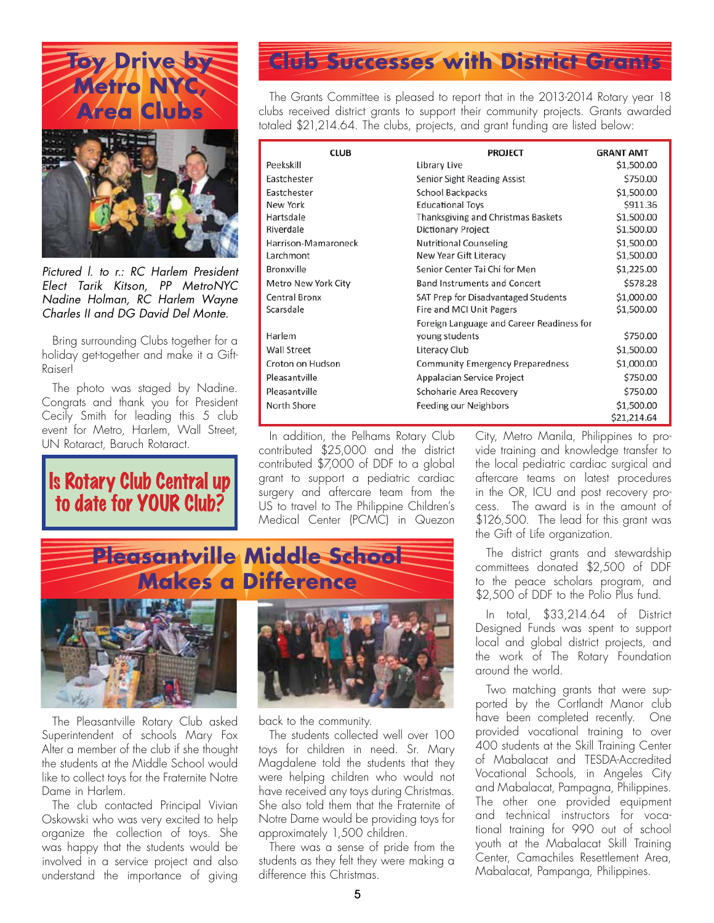



*Pictured l. to r.: RC Harlem President Elect Tarik Kitson, PP MetroNYC Nadine Holman, RC Harlem Wayne Charles II and DG David Del Monte.*

Bring surrounding Clubs together for a holiday get-together and make it a Gift-Raiser!

The photo was staged by Nadine. Congrats and thank you for President Cecily Smith for leading this 5 club event for Metro, Harlem, Wall Street, UN Rotaract, Baruch Rotaract.

Is Rotary Club Central up to date for YOUR Club?

## **Club Successes with District Grants**

The Grants Committee is pleased to report that in the 2013-2014 Rotary year 18 clubs received district grants to support their community projects. Grants awarded totaled \$21,214.64. The clubs, projects, and grant funding are listed below:

| <b>CLUB</b>         | <b>PROJECT</b>                            | <b>GRANT AMT</b> |  |
|---------------------|-------------------------------------------|------------------|--|
| Peekskill           | Library Live                              | \$1,500.00       |  |
| Eastchester         | Senior Sight Reading Assist               | \$750.00         |  |
| Eastchester         | School Backpacks                          | \$1,500.00       |  |
| New York            | <b>Educational Toys</b>                   | \$911.36         |  |
| Hartsdale           | <b>Thanksgiving and Christmas Baskets</b> | \$1,500.00       |  |
| Riverdale           | Dictionary Project                        | \$1,500.00       |  |
| Harrison-Mamaroneck | <b>Nutritional Counseling</b>             | \$1,500.00       |  |
| Larchmont           | New Year Gift Literacy                    | \$1,500.00       |  |
| <b>Bronxville</b>   | Senior Center Tai Chi for Men             | \$1,225.00       |  |
| Metro New York City | Band Instruments and Concert              | \$578.28         |  |
| Central Bronx       | SAT Prep for Disadvantaged Students       | \$1,000.00       |  |
| Scarsdale           | Fire and MCI Unit Pagers                  | \$1,500.00       |  |
|                     | Foreign Language and Career Readiness for |                  |  |
| Harlem              | young students                            | \$750.00         |  |
| Wall Street         | Literacy Club                             | \$1,500.00       |  |
| Croton on Hudson    | <b>Community Emergency Preparedness</b>   | \$1,000.00       |  |
| Pleasantville       | Appalacian Service Project                | \$750.00         |  |
| Pleasantville       | Schoharie Area Recovery                   | \$750.00         |  |
| North Shore         | Feeding our Neighbors                     | \$1,500.00       |  |
|                     |                                           | \$21,214.64      |  |

In addition, the Pelhams Rotary Club contributed \$25,000 and the district contributed \$7,000 of DDF to a global grant to support a pediatric cardiac surgery and aftercare team from the US to travel to The Philippine Children's Medical Center (PCMC) in Quezon

City, Metro Manila, Philippines to provide training and knowledge transfer to the local pediatric cardiac surgical and aftercare teams on latest procedures in the OR, ICU and post recovery process. The award is in the amount of \$126,500. The lead for this grant was the Gift of Life organization.

The district grants and stewardship committees donated \$2,500 of DDF to the peace scholars program, and \$2,500 of DDF to the Polio Plus fund.

In total, \$33,214.64 of District Designed Funds was spent to support local and global district projects, and the work of The Rotary Foundation around the world.

Two matching grants that were supported by the Cortlandt Manor club have been completed recently. One provided vocational training to over 400 students at the Skill Training Center of Mabalacat and TESDA-Accredited Vocational Schools, in Angeles City and Mabalacat, Pampagna, Philippines. The other one provided equipment and technical instructors for vocational training for 990 out of school youth at the Mabalacat Skill Training Center, Camachiles Resettlement Area, Mabalacat, Pampanga, Philippines.

# **Pleasantville Middle School Makes a Difference**



The Pleasantville Rotary Club asked Superintendent of schools Mary Fox Alter a member of the club if she thought the students at the Middle School would like to collect toys for the Fraternite Notre Dame in Harlem.

The club contacted Principal Vivian Oskowski who was very excited to help organize the collection of toys. She was happy that the students would be involved in a service project and also understand the importance of giving



back to the community.

The students collected well over 100 toys for children in need. Sr. Mary Magdalene told the students that they were helping children who would not have received any toys during Christmas. She also told them that the Fraternite of Notre Dame would be providing toys for approximately 1,500 children.

There was a sense of pride from the students as they felt they were making a difference this Christmas.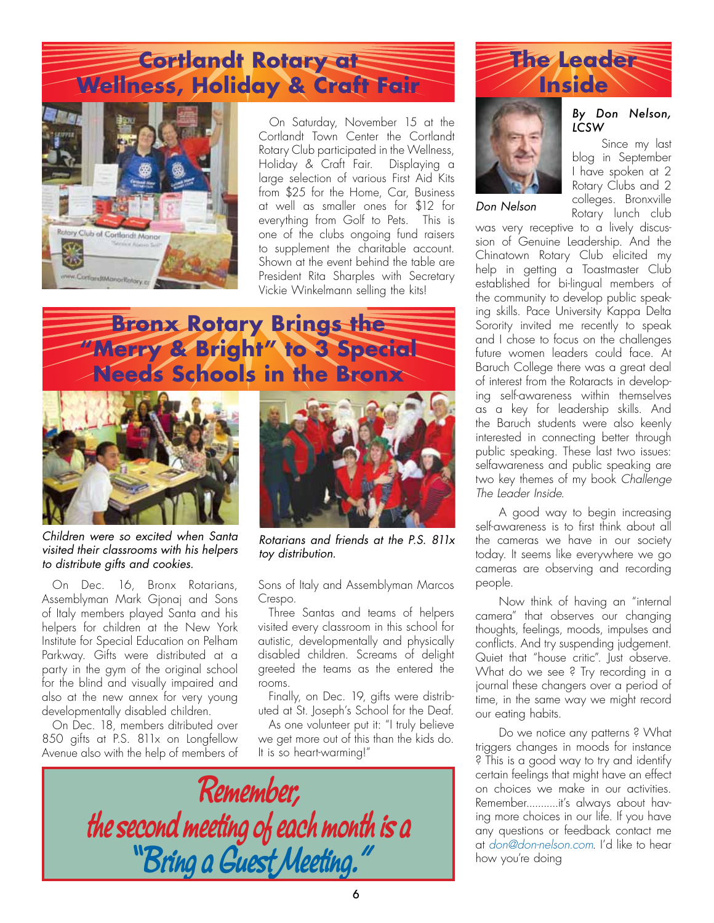## **Cortlandt Rotary at Wellness, Holiday & Craft Fair**



On Saturday, November 15 at the Cortlandt Town Center the Cortlandt Rotary Club participated in the Wellness, Holiday & Craft Fair. Displaying a large selection of various First Aid Kits from \$25 for the Home, Car, Business at well as smaller ones for \$12 for everything from Golf to Pets. This is one of the clubs ongoing fund raisers to supplement the charitable account. Shown at the event behind the table are President Rita Sharples with Secretary Vickie Winkelmann selling the kits!

## **Bronx Rotary Brings the "Merry & Bright" to 3 Special Needs Schools in the Bronx**



*Children were so excited when Santa visited their classrooms with his helpers to distribute gifts and cookies.*

On Dec. 16, Bronx Rotarians, Assemblyman Mark Gjonaj and Sons of Italy members played Santa and his helpers for children at the New York Institute for Special Education on Pelham Parkway. Gifts were distributed at a party in the gym of the original school for the blind and visually impaired and also at the new annex for very young developmentally disabled children.

On Dec. 18, members ditributed over 850 gifts at P.S. 811x on Longfellow Avenue also with the help of members of



*Rotarians and friends at the P.S. 811x toy distribution.*

Sons of Italy and Assemblyman Marcos Crespo.

Three Santas and teams of helpers visited every classroom in this school for autistic, developmentally and physically disabled children. Screams of delight greeted the teams as the entered the rooms.

Finally, on Dec. 19, gifts were distributed at St. Joseph's School for the Deaf.

As one volunteer put it: "I truly believe we get more out of this than the kids do. It is so heart-warming!"







*Don Nelson*

#### *By Don Nelson, LCSW*

Since my last blog in September I have spoken at 2 Rotary Clubs and 2 colleges. Bronxville Rotary lunch club

was very receptive to a lively discussion of Genuine Leadership. And the Chinatown Rotary Club elicited my help in getting a Toastmaster Club established for bi-lingual members of the community to develop public speaking skills. Pace University Kappa Delta Sorority invited me recently to speak and I chose to focus on the challenges future women leaders could face. At Baruch College there was a great deal of interest from the Rotaracts in developing self-awareness within themselves as a key for leadership skills. And the Baruch students were also keenly interested in connecting better through public speaking. These last two issues: selfawareness and public speaking are two key themes of my book *Challenge The Leader Inside*.

A good way to begin increasing self-awareness is to first think about all the cameras we have in our society today. It seems like everywhere we go cameras are observing and recording people.

Now think of having an "internal camera" that observes our changing thoughts, feelings, moods, impulses and conflicts. And try suspending judgement. Quiet that "house critic". Just observe. What do we see ? Try recording in a journal these changers over a period of time, in the same way we might record our eating habits.

Do we notice any patterns ? What triggers changes in moods for instance ? This is a good way to try and identify certain feelings that might have an effect on choices we make in our activities. Remember...........it's always about having more choices in our life. If you have any questions or feedback contact me at *don@don-nelson.com*. I'd like to hear how you're doing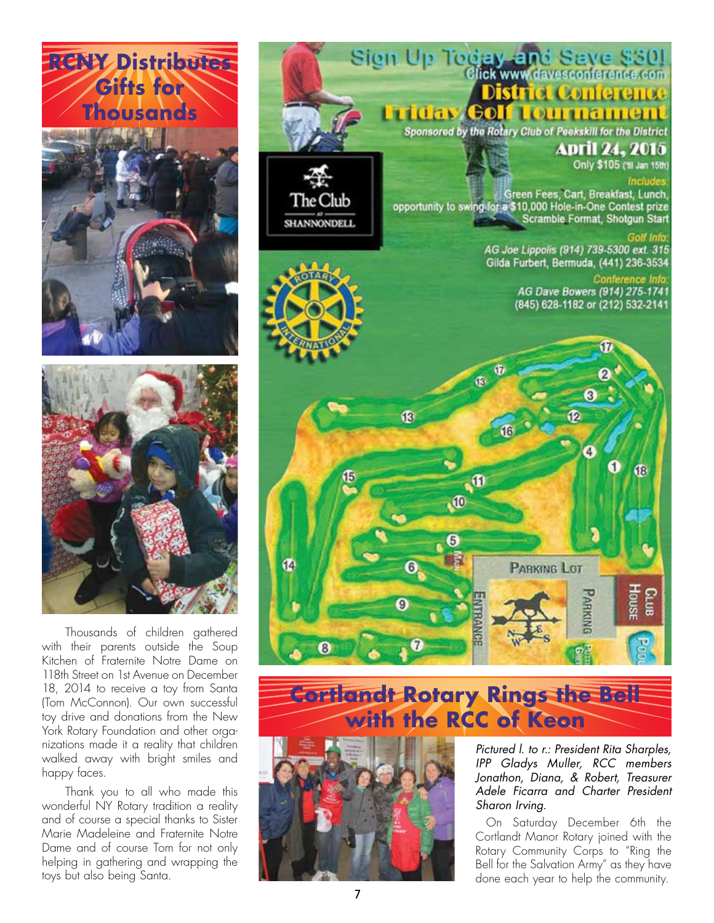





Thousands of children gathered with their parents outside the Soup Kitchen of Fraternite Notre Dame on 118th Street on 1st Avenue on December 18, 2014 to receive a toy from Santa (Tom McConnon). Our own successful toy drive and donations from the New York Rotary Foundation and other organizations made it a reality that children walked away with bright smiles and happy faces.

Thank you to all who made this wonderful NY Rotary tradition a reality and of course a special thanks to Sister Marie Madeleine and Fraternite Notre Dame and of course Tom for not only helping in gathering and wrapping the toys but also being Santa.



# **Cortlandt Rotary Rings the Bell with the RCC of Keon**



*Pictured l. to r.: President Rita Sharples, IPP Gladys Muller, RCC members Jonathon, Diana, & Robert, Treasurer Adele Ficarra and Charter President Sharon Irving.*

On Saturday December 6th the Cortlandt Manor Rotary joined with the Rotary Community Corps to "Ring the Bell for the Salvation Army" as they have done each year to help the community.